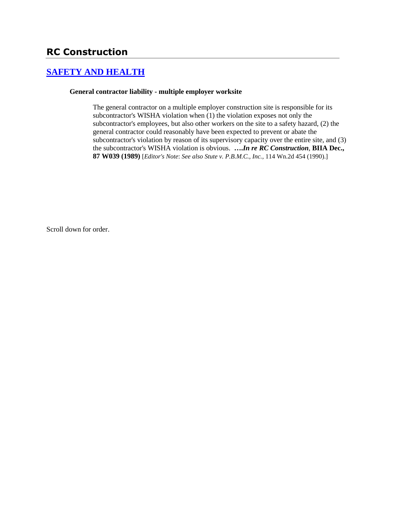# **[SAFETY AND HEALTH](http://www.biia.wa.gov/SDSubjectIndex.html#SAFETY_AND_HEALTH)**

#### **General contractor liability - multiple employer worksite**

The general contractor on a multiple employer construction site is responsible for its subcontractor's WISHA violation when (1) the violation exposes not only the subcontractor's employees, but also other workers on the site to a safety hazard, (2) the general contractor could reasonably have been expected to prevent or abate the subcontractor's violation by reason of its supervisory capacity over the entire site, and (3) the subcontractor's WISHA violation is obvious. **….***In re RC Construction*, **BIIA Dec., 87 W039 (1989)** [*Editor's Note*: *See also Stute v. P.B.M.C., Inc.,* 114 Wn.2d 454 (1990).]

Scroll down for order.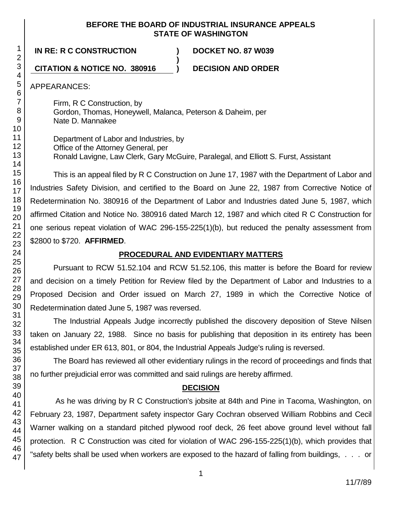### **BEFORE THE BOARD OF INDUSTRIAL INSURANCE APPEALS STATE OF WASHINGTON**

**IN RE: R C CONSTRUCTION ) DOCKET NO. 87 W039**

## **CITATION & NOTICE NO. 380916 ) DECISION AND ORDER**

APPEARANCES:

Firm, R C Construction, by Gordon, Thomas, Honeywell, Malanca, Peterson & Daheim, per Nate D. Mannakee

**)**

Department of Labor and Industries, by Office of the Attorney General, per Ronald Lavigne, Law Clerk, Gary McGuire, Paralegal, and Elliott S. Furst, Assistant

This is an appeal filed by R C Construction on June 17, 1987 with the Department of Labor and Industries Safety Division, and certified to the Board on June 22, 1987 from Corrective Notice of Redetermination No. 380916 of the Department of Labor and Industries dated June 5, 1987, which affirmed Citation and Notice No. 380916 dated March 12, 1987 and which cited R C Construction for one serious repeat violation of WAC 296-155-225(1)(b), but reduced the penalty assessment from \$2800 to \$720. **AFFIRMED**.

# **PROCEDURAL AND EVIDENTIARY MATTERS**

Pursuant to RCW 51.52.104 and RCW 51.52.106, this matter is before the Board for review and decision on a timely Petition for Review filed by the Department of Labor and Industries to a Proposed Decision and Order issued on March 27, 1989 in which the Corrective Notice of Redetermination dated June 5, 1987 was reversed.

The Industrial Appeals Judge incorrectly published the discovery deposition of Steve Nilsen taken on January 22, 1988. Since no basis for publishing that deposition in its entirety has been established under ER 613, 801, or 804, the Industrial Appeals Judge's ruling is reversed.

The Board has reviewed all other evidentiary rulings in the record of proceedings and finds that no further prejudicial error was committed and said rulings are hereby affirmed.

# **DECISION**

As he was driving by R C Construction's jobsite at 84th and Pine in Tacoma, Washington, on February 23, 1987, Department safety inspector Gary Cochran observed William Robbins and Cecil Warner walking on a standard pitched plywood roof deck, 26 feet above ground level without fall protection. R C Construction was cited for violation of WAC 296-155-225(1)(b), which provides that "safety belts shall be used when workers are exposed to the hazard of falling from buildings, . . . or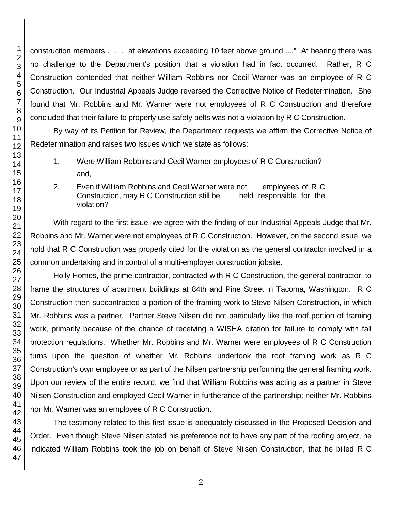construction members . . . at elevations exceeding 10 feet above ground ...." At hearing there was no challenge to the Department's position that a violation had in fact occurred. Rather, R C Construction contended that neither William Robbins nor Cecil Warner was an employee of R C Construction. Our Industrial Appeals Judge reversed the Corrective Notice of Redetermination. She found that Mr. Robbins and Mr. Warner were not employees of R C Construction and therefore concluded that their failure to properly use safety belts was not a violation by R C Construction.

By way of its Petition for Review, the Department requests we affirm the Corrective Notice of Redetermination and raises two issues which we state as follows:

- 1. Were William Robbins and Cecil Warner employees of R C Construction? and,
- 2. Even if William Robbins and Cecil Warner were not employees of R C Construction, may R C Construction still be held responsible for the violation?

With regard to the first issue, we agree with the finding of our Industrial Appeals Judge that Mr. Robbins and Mr. Warner were not employees of R C Construction. However, on the second issue, we hold that R C Construction was properly cited for the violation as the general contractor involved in a common undertaking and in control of a multi-employer construction jobsite.

Holly Homes, the prime contractor, contracted with R C Construction, the general contractor, to frame the structures of apartment buildings at 84th and Pine Street in Tacoma, Washington. R C Construction then subcontracted a portion of the framing work to Steve Nilsen Construction, in which Mr. Robbins was a partner. Partner Steve Nilsen did not particularly like the roof portion of framing work, primarily because of the chance of receiving a WISHA citation for failure to comply with fall protection regulations. Whether Mr. Robbins and Mr. Warner were employees of R C Construction turns upon the question of whether Mr. Robbins undertook the roof framing work as R C Construction's own employee or as part of the Nilsen partnership performing the general framing work. Upon our review of the entire record, we find that William Robbins was acting as a partner in Steve Nilsen Construction and employed Cecil Warner in furtherance of the partnership; neither Mr. Robbins nor Mr. Warner was an employee of R C Construction.

The testimony related to this first issue is adequately discussed in the Proposed Decision and Order. Even though Steve Nilsen stated his preference not to have any part of the roofing project, he indicated William Robbins took the job on behalf of Steve Nilsen Construction, that he billed R C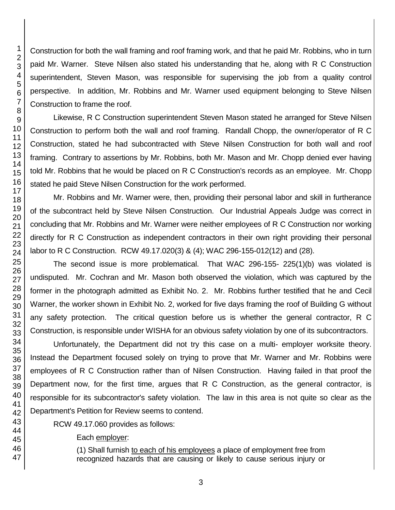Construction for both the wall framing and roof framing work, and that he paid Mr. Robbins, who in turn paid Mr. Warner. Steve Nilsen also stated his understanding that he, along with R C Construction superintendent, Steven Mason, was responsible for supervising the job from a quality control perspective. In addition, Mr. Robbins and Mr. Warner used equipment belonging to Steve Nilsen Construction to frame the roof.

Likewise, R C Construction superintendent Steven Mason stated he arranged for Steve Nilsen Construction to perform both the wall and roof framing. Randall Chopp, the owner/operator of R C Construction, stated he had subcontracted with Steve Nilsen Construction for both wall and roof framing. Contrary to assertions by Mr. Robbins, both Mr. Mason and Mr. Chopp denied ever having told Mr. Robbins that he would be placed on R C Construction's records as an employee. Mr. Chopp stated he paid Steve Nilsen Construction for the work performed.

Mr. Robbins and Mr. Warner were, then, providing their personal labor and skill in furtherance of the subcontract held by Steve Nilsen Construction. Our Industrial Appeals Judge was correct in concluding that Mr. Robbins and Mr. Warner were neither employees of R C Construction nor working directly for R C Construction as independent contractors in their own right providing their personal labor to R C Construction. RCW 49.17.020(3) & (4); WAC 296-155-012(12) and (28).

The second issue is more problematical. That WAC 296-155- 225(1)(b) was violated is undisputed. Mr. Cochran and Mr. Mason both observed the violation, which was captured by the former in the photograph admitted as Exhibit No. 2. Mr. Robbins further testified that he and Cecil Warner, the worker shown in Exhibit No. 2, worked for five days framing the roof of Building G without any safety protection. The critical question before us is whether the general contractor, R C Construction, is responsible under WISHA for an obvious safety violation by one of its subcontractors.

Unfortunately, the Department did not try this case on a multi- employer worksite theory. Instead the Department focused solely on trying to prove that Mr. Warner and Mr. Robbins were employees of R C Construction rather than of Nilsen Construction. Having failed in that proof the Department now, for the first time, argues that R C Construction, as the general contractor, is responsible for its subcontractor's safety violation. The law in this area is not quite so clear as the Department's Petition for Review seems to contend.

RCW 49.17.060 provides as follows:

Each employer:

(1) Shall furnish to each of his employees a place of employment free from recognized hazards that are causing or likely to cause serious injury or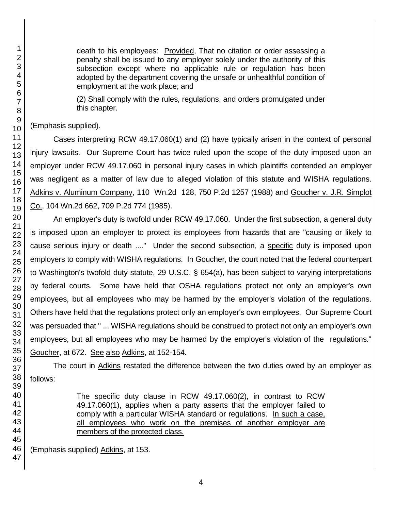death to his employees: Provided, That no citation or order assessing a penalty shall be issued to any employer solely under the authority of this subsection except where no applicable rule or regulation has been adopted by the department covering the unsafe or unhealthful condition of employment at the work place; and

(2) Shall comply with the rules, regulations, and orders promulgated under this chapter.

(Emphasis supplied).

Cases interpreting RCW 49.17.060(1) and (2) have typically arisen in the context of personal injury lawsuits. Our Supreme Court has twice ruled upon the scope of the duty imposed upon an employer under RCW 49.17.060 in personal injury cases in which plaintiffs contended an employer was negligent as a matter of law due to alleged violation of this statute and WISHA regulations. Adkins v. Aluminum Company, 110 Wn.2d 128, 750 P.2d 1257 (1988) and Goucher v. J.R. Simplot Co., 104 Wn.2d 662, 709 P.2d 774 (1985).

An employer's duty is twofold under RCW 49.17.060. Under the first subsection, a general duty is imposed upon an employer to protect its employees from hazards that are "causing or likely to cause serious injury or death ...." Under the second subsection, a specific duty is imposed upon employers to comply with WISHA regulations. In Goucher, the court noted that the federal counterpart to Washington's twofold duty statute, 29 U.S.C. § 654(a), has been subject to varying interpretations by federal courts. Some have held that OSHA regulations protect not only an employer's own employees, but all employees who may be harmed by the employer's violation of the regulations. Others have held that the regulations protect only an employer's own employees. Our Supreme Court was persuaded that " ... WISHA regulations should be construed to protect not only an employer's own employees, but all employees who may be harmed by the employer's violation of the regulations." Goucher, at 672. See also Adkins, at 152-154.

The court in Adkins restated the difference between the two duties owed by an employer as follows:

> The specific duty clause in RCW 49.17.060(2), in contrast to RCW 49.17.060(1), applies when a party asserts that the employer failed to comply with a particular WISHA standard or regulations. In such a case, all employees who work on the premises of another employer are members of the protected class.

(Emphasis supplied) Adkins, at 153.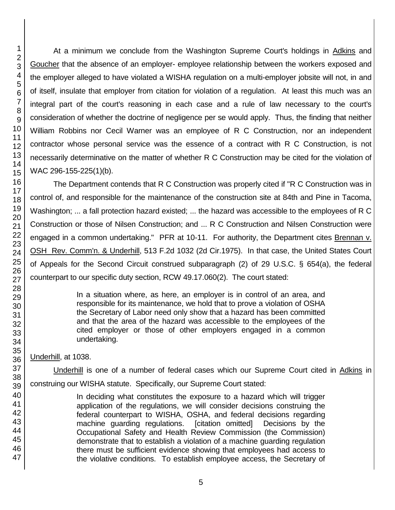At a minimum we conclude from the Washington Supreme Court's holdings in Adkins and Goucher that the absence of an employer- employee relationship between the workers exposed and the employer alleged to have violated a WISHA regulation on a multi-employer jobsite will not, in and of itself, insulate that employer from citation for violation of a regulation. At least this much was an integral part of the court's reasoning in each case and a rule of law necessary to the court's consideration of whether the doctrine of negligence per se would apply. Thus, the finding that neither William Robbins nor Cecil Warner was an employee of R C Construction, nor an independent contractor whose personal service was the essence of a contract with R C Construction, is not necessarily determinative on the matter of whether R C Construction may be cited for the violation of WAC 296-155-225(1)(b).

The Department contends that R C Construction was properly cited if "R C Construction was in control of, and responsible for the maintenance of the construction site at 84th and Pine in Tacoma, Washington; ... a fall protection hazard existed; ... the hazard was accessible to the employees of R C Construction or those of Nilsen Construction; and ... R C Construction and Nilsen Construction were engaged in a common undertaking." PFR at 10-11. For authority, the Department cites Brennan v. OSH Rev. Comm'n. & Underhill, 513 F.2d 1032 (2d Cir.1975). In that case, the United States Court of Appeals for the Second Circuit construed subparagraph (2) of 29 U.S.C. § 654(a), the federal counterpart to our specific duty section, RCW 49.17.060(2). The court stated:

> In a situation where, as here, an employer is in control of an area, and responsible for its maintenance, we hold that to prove a violation of OSHA the Secretary of Labor need only show that a hazard has been committed and that the area of the hazard was accessible to the employees of the cited employer or those of other employers engaged in a common undertaking.

Underhill, at 1038.

Underhill is one of a number of federal cases which our Supreme Court cited in Adkins in construing our WISHA statute. Specifically, our Supreme Court stated:

In deciding what constitutes the exposure to a hazard which will trigger application of the regulations, we will consider decisions construing the federal counterpart to WISHA, OSHA, and federal decisions regarding machine guarding regulations. [citation omitted] Decisions by the Occupational Safety and Health Review Commission (the Commission) demonstrate that to establish a violation of a machine guarding regulation there must be sufficient evidence showing that employees had access to the violative conditions. To establish employee access, the Secretary of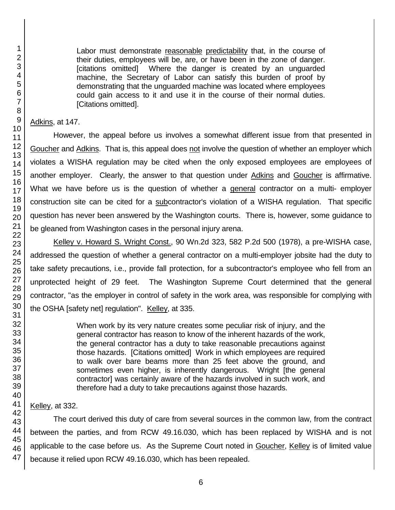Labor must demonstrate reasonable predictability that, in the course of their duties, employees will be, are, or have been in the zone of danger. [citations omitted] Where the danger is created by an unguarded machine, the Secretary of Labor can satisfy this burden of proof by demonstrating that the unguarded machine was located where employees could gain access to it and use it in the course of their normal duties. [Citations omitted].

Adkins, at 147.

However, the appeal before us involves a somewhat different issue from that presented in Goucher and Adkins. That is, this appeal does not involve the question of whether an employer which violates a WISHA regulation may be cited when the only exposed employees are employees of another employer. Clearly, the answer to that question under Adkins and Goucher is affirmative. What we have before us is the question of whether a general contractor on a multi- employer construction site can be cited for a subcontractor's violation of a WISHA regulation. That specific question has never been answered by the Washington courts. There is, however, some guidance to be gleaned from Washington cases in the personal injury arena.

Kelley v. Howard S. Wright Const., 90 Wn.2d 323, 582 P.2d 500 (1978), a pre-WISHA case, addressed the question of whether a general contractor on a multi-employer jobsite had the duty to take safety precautions, i.e., provide fall protection, for a subcontractor's employee who fell from an unprotected height of 29 feet. The Washington Supreme Court determined that the general contractor, "as the employer in control of safety in the work area, was responsible for complying with the OSHA [safety net] regulation". Kelley, at 335.

> When work by its very nature creates some peculiar risk of injury, and the general contractor has reason to know of the inherent hazards of the work, the general contractor has a duty to take reasonable precautions against those hazards. [Citations omitted] Work in which employees are required to walk over bare beams more than 25 feet above the ground, and sometimes even higher, is inherently dangerous. Wright [the general contractor] was certainly aware of the hazards involved in such work, and therefore had a duty to take precautions against those hazards.

### Kelley, at 332.

The court derived this duty of care from several sources in the common law, from the contract between the parties, and from RCW 49.16.030, which has been replaced by WISHA and is not applicable to the case before us. As the Supreme Court noted in Goucher, Kelley is of limited value because it relied upon RCW 49.16.030, which has been repealed.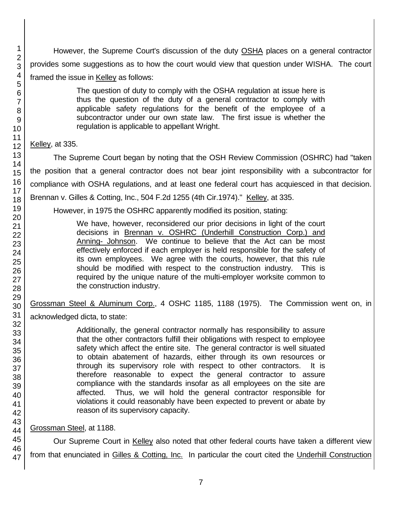However, the Supreme Court's discussion of the duty OSHA places on a general contractor provides some suggestions as to how the court would view that question under WISHA. The court framed the issue in Kelley as follows:

> The question of duty to comply with the OSHA regulation at issue here is thus the question of the duty of a general contractor to comply with applicable safety regulations for the benefit of the employee of a subcontractor under our own state law. The first issue is whether the regulation is applicable to appellant Wright.

### Kelley, at 335.

The Supreme Court began by noting that the OSH Review Commission (OSHRC) had "taken the position that a general contractor does not bear joint responsibility with a subcontractor for compliance with OSHA regulations, and at least one federal court has acquiesced in that decision. Brennan v. Gilles & Cotting, Inc., 504 F.2d 1255 (4th Cir.1974)." Kelley, at 335.

However, in 1975 the OSHRC apparently modified its position, stating:

We have, however, reconsidered our prior decisions in light of the court decisions in Brennan v. OSHRC (Underhill Construction Corp.) and Anning- Johnson. We continue to believe that the Act can be most effectively enforced if each employer is held responsible for the safety of its own employees. We agree with the courts, however, that this rule should be modified with respect to the construction industry. This is required by the unique nature of the multi-employer worksite common to the construction industry.

Grossman Steel & Aluminum Corp., 4 OSHC 1185, 1188 (1975). The Commission went on, in

acknowledged dicta, to state:

Additionally, the general contractor normally has responsibility to assure that the other contractors fulfill their obligations with respect to employee safety which affect the entire site. The general contractor is well situated to obtain abatement of hazards, either through its own resources or through its supervisory role with respect to other contractors. It is therefore reasonable to expect the general contractor to assure compliance with the standards insofar as all employees on the site are affected. Thus, we will hold the general contractor responsible for violations it could reasonably have been expected to prevent or abate by reason of its supervisory capacity.

# Grossman Steel, at 1188.

Our Supreme Court in Kelley also noted that other federal courts have taken a different view from that enunciated in Gilles & Cotting, Inc. In particular the court cited the Underhill Construction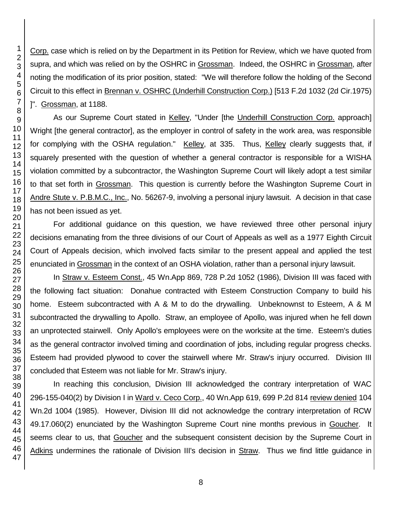Corp. case which is relied on by the Department in its Petition for Review, which we have quoted from supra, and which was relied on by the OSHRC in Grossman. Indeed, the OSHRC in Grossman, after noting the modification of its prior position, stated: "We will therefore follow the holding of the Second Circuit to this effect in Brennan v. OSHRC (Underhill Construction Corp.) [513 F.2d 1032 (2d Cir.1975) ]". Grossman, at 1188.

As our Supreme Court stated in Kelley, "Under [the Underhill Construction Corp. approach] Wright [the general contractor], as the employer in control of safety in the work area, was responsible for complying with the OSHA regulation." Kelley, at 335. Thus, Kelley clearly suggests that, if squarely presented with the question of whether a general contractor is responsible for a WISHA violation committed by a subcontractor, the Washington Supreme Court will likely adopt a test similar to that set forth in Grossman. This question is currently before the Washington Supreme Court in Andre Stute v. P.B.M.C., Inc., No. 56267-9, involving a personal injury lawsuit. A decision in that case has not been issued as yet.

For additional guidance on this question, we have reviewed three other personal injury decisions emanating from the three divisions of our Court of Appeals as well as a 1977 Eighth Circuit Court of Appeals decision, which involved facts similar to the present appeal and applied the test enunciated in Grossman in the context of an OSHA violation, rather than a personal injury lawsuit.

In Straw v. Esteem Const., 45 Wn.App 869, 728 P.2d 1052 (1986), Division III was faced with the following fact situation: Donahue contracted with Esteem Construction Company to build his home. Esteem subcontracted with A & M to do the drywalling. Unbeknownst to Esteem, A & M subcontracted the drywalling to Apollo. Straw, an employee of Apollo, was injured when he fell down an unprotected stairwell. Only Apollo's employees were on the worksite at the time. Esteem's duties as the general contractor involved timing and coordination of jobs, including regular progress checks. Esteem had provided plywood to cover the stairwell where Mr. Straw's injury occurred. Division III concluded that Esteem was not liable for Mr. Straw's injury.

In reaching this conclusion, Division III acknowledged the contrary interpretation of WAC 296-155-040(2) by Division I in Ward v. Ceco Corp., 40 Wn.App 619, 699 P.2d 814 review denied 104 Wn.2d 1004 (1985). However, Division III did not acknowledge the contrary interpretation of RCW 49.17.060(2) enunciated by the Washington Supreme Court nine months previous in Goucher. It seems clear to us, that Goucher and the subsequent consistent decision by the Supreme Court in Adkins undermines the rationale of Division III's decision in Straw. Thus we find little guidance in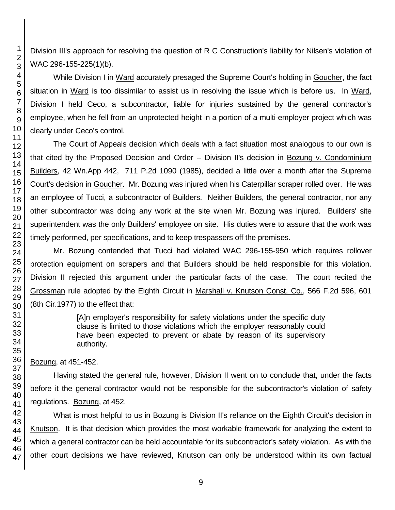Division III's approach for resolving the question of R C Construction's liability for Nilsen's violation of WAC 296-155-225(1)(b).

While Division I in Ward accurately presaged the Supreme Court's holding in Goucher, the fact situation in Ward is too dissimilar to assist us in resolving the issue which is before us. In Ward, Division I held Ceco, a subcontractor, liable for injuries sustained by the general contractor's employee, when he fell from an unprotected height in a portion of a multi-employer project which was clearly under Ceco's control.

The Court of Appeals decision which deals with a fact situation most analogous to our own is that cited by the Proposed Decision and Order -- Division II's decision in Bozung v. Condominium Builders, 42 Wn.App 442, 711 P.2d 1090 (1985), decided a little over a month after the Supreme Court's decision in Goucher. Mr. Bozung was injured when his Caterpillar scraper rolled over. He was an employee of Tucci, a subcontractor of Builders. Neither Builders, the general contractor, nor any other subcontractor was doing any work at the site when Mr. Bozung was injured. Builders' site superintendent was the only Builders' employee on site. His duties were to assure that the work was timely performed, per specifications, and to keep trespassers off the premises.

Mr. Bozung contended that Tucci had violated WAC 296-155-950 which requires rollover protection equipment on scrapers and that Builders should be held responsible for this violation. Division II rejected this argument under the particular facts of the case. The court recited the Grossman rule adopted by the Eighth Circuit in Marshall v. Knutson Const. Co., 566 F.2d 596, 601 (8th Cir.1977) to the effect that:

> [A]n employer's responsibility for safety violations under the specific duty clause is limited to those violations which the employer reasonably could have been expected to prevent or abate by reason of its supervisory authority.

Bozung, at 451-452.

Having stated the general rule, however, Division II went on to conclude that, under the facts before it the general contractor would not be responsible for the subcontractor's violation of safety regulations. Bozung, at 452.

What is most helpful to us in Bozung is Division II's reliance on the Eighth Circuit's decision in Knutson. It is that decision which provides the most workable framework for analyzing the extent to which a general contractor can be held accountable for its subcontractor's safety violation. As with the other court decisions we have reviewed, Knutson can only be understood within its own factual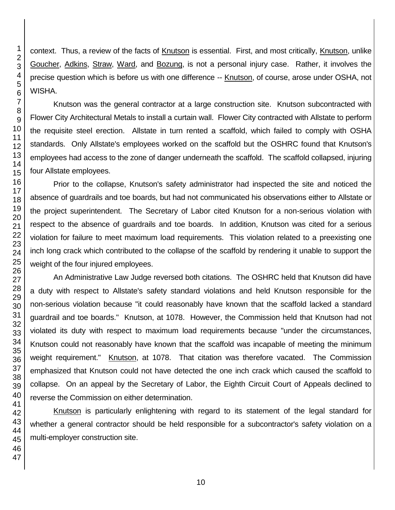context. Thus, a review of the facts of Knutson is essential. First, and most critically, Knutson, unlike Goucher, Adkins, Straw, Ward, and Bozung, is not a personal injury case. Rather, it involves the precise question which is before us with one difference -- Knutson, of course, arose under OSHA, not WISHA.

Knutson was the general contractor at a large construction site. Knutson subcontracted with Flower City Architectural Metals to install a curtain wall. Flower City contracted with Allstate to perform the requisite steel erection. Allstate in turn rented a scaffold, which failed to comply with OSHA standards. Only Allstate's employees worked on the scaffold but the OSHRC found that Knutson's employees had access to the zone of danger underneath the scaffold. The scaffold collapsed, injuring four Allstate employees.

Prior to the collapse, Knutson's safety administrator had inspected the site and noticed the absence of guardrails and toe boards, but had not communicated his observations either to Allstate or the project superintendent. The Secretary of Labor cited Knutson for a non-serious violation with respect to the absence of guardrails and toe boards. In addition, Knutson was cited for a serious violation for failure to meet maximum load requirements. This violation related to a preexisting one inch long crack which contributed to the collapse of the scaffold by rendering it unable to support the weight of the four injured employees.

An Administrative Law Judge reversed both citations. The OSHRC held that Knutson did have a duty with respect to Allstate's safety standard violations and held Knutson responsible for the non-serious violation because "it could reasonably have known that the scaffold lacked a standard guardrail and toe boards." Knutson, at 1078. However, the Commission held that Knutson had not violated its duty with respect to maximum load requirements because "under the circumstances, Knutson could not reasonably have known that the scaffold was incapable of meeting the minimum weight requirement." Knutson, at 1078. That citation was therefore vacated. The Commission emphasized that Knutson could not have detected the one inch crack which caused the scaffold to collapse. On an appeal by the Secretary of Labor, the Eighth Circuit Court of Appeals declined to reverse the Commission on either determination.

Knutson is particularly enlightening with regard to its statement of the legal standard for whether a general contractor should be held responsible for a subcontractor's safety violation on a multi-employer construction site.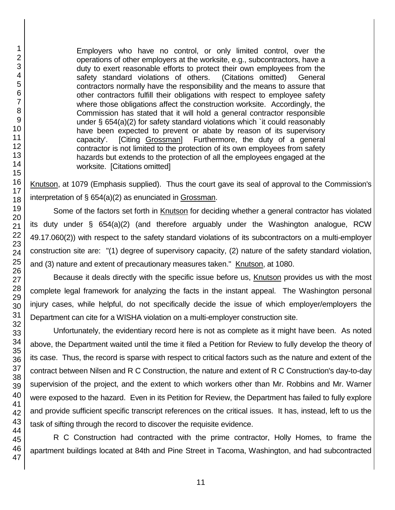Employers who have no control, or only limited control, over the operations of other employers at the worksite, e.g., subcontractors, have a duty to exert reasonable efforts to protect their own employees from the safety standard violations of others. (Citations omitted) General contractors normally have the responsibility and the means to assure that other contractors fulfill their obligations with respect to employee safety where those obligations affect the construction worksite. Accordingly, the Commission has stated that it will hold a general contractor responsible under § 654(a)(2) for safety standard violations which `it could reasonably have been expected to prevent or abate by reason of its supervisory capacity'. [Citing Grossman] Furthermore, the duty of a general contractor is not limited to the protection of its own employees from safety hazards but extends to the protection of all the employees engaged at the worksite. [Citations omitted]

Knutson, at 1079 (Emphasis supplied). Thus the court gave its seal of approval to the Commission's interpretation of § 654(a)(2) as enunciated in Grossman.

Some of the factors set forth in Knutson for deciding whether a general contractor has violated its duty under § 654(a)(2) (and therefore arguably under the Washington analogue, RCW 49.17.060(2)) with respect to the safety standard violations of its subcontractors on a multi-employer construction site are: "(1) degree of supervisory capacity, (2) nature of the safety standard violation, and (3) nature and extent of precautionary measures taken." Knutson, at 1080.

Because it deals directly with the specific issue before us, Knutson provides us with the most complete legal framework for analyzing the facts in the instant appeal. The Washington personal injury cases, while helpful, do not specifically decide the issue of which employer/employers the Department can cite for a WISHA violation on a multi-employer construction site.

Unfortunately, the evidentiary record here is not as complete as it might have been. As noted above, the Department waited until the time it filed a Petition for Review to fully develop the theory of its case. Thus, the record is sparse with respect to critical factors such as the nature and extent of the contract between Nilsen and R C Construction, the nature and extent of R C Construction's day-to-day supervision of the project, and the extent to which workers other than Mr. Robbins and Mr. Warner were exposed to the hazard. Even in its Petition for Review, the Department has failed to fully explore and provide sufficient specific transcript references on the critical issues. It has, instead, left to us the task of sifting through the record to discover the requisite evidence.

R C Construction had contracted with the prime contractor, Holly Homes, to frame the apartment buildings located at 84th and Pine Street in Tacoma, Washington, and had subcontracted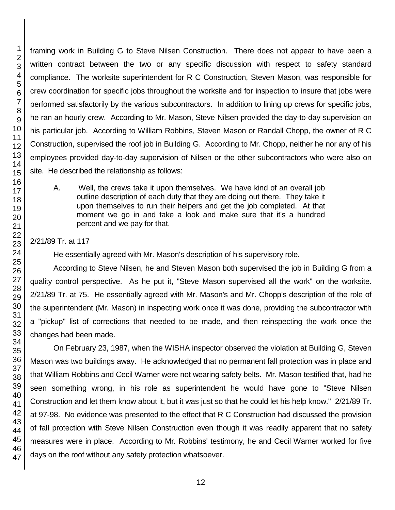framing work in Building G to Steve Nilsen Construction. There does not appear to have been a written contract between the two or any specific discussion with respect to safety standard compliance. The worksite superintendent for R C Construction, Steven Mason, was responsible for crew coordination for specific jobs throughout the worksite and for inspection to insure that jobs were performed satisfactorily by the various subcontractors. In addition to lining up crews for specific jobs, he ran an hourly crew. According to Mr. Mason, Steve Nilsen provided the day-to-day supervision on his particular job. According to William Robbins, Steven Mason or Randall Chopp, the owner of R C Construction, supervised the roof job in Building G. According to Mr. Chopp, neither he nor any of his employees provided day-to-day supervision of Nilsen or the other subcontractors who were also on site. He described the relationship as follows:

A. Well, the crews take it upon themselves. We have kind of an overall job outline description of each duty that they are doing out there. They take it upon themselves to run their helpers and get the job completed. At that moment we go in and take a look and make sure that it's a hundred percent and we pay for that.

### 2/21/89 Tr. at 117

He essentially agreed with Mr. Mason's description of his supervisory role.

According to Steve Nilsen, he and Steven Mason both supervised the job in Building G from a quality control perspective. As he put it, "Steve Mason supervised all the work" on the worksite. 2/21/89 Tr. at 75. He essentially agreed with Mr. Mason's and Mr. Chopp's description of the role of the superintendent (Mr. Mason) in inspecting work once it was done, providing the subcontractor with a "pickup" list of corrections that needed to be made, and then reinspecting the work once the changes had been made.

On February 23, 1987, when the WISHA inspector observed the violation at Building G, Steven Mason was two buildings away. He acknowledged that no permanent fall protection was in place and that William Robbins and Cecil Warner were not wearing safety belts. Mr. Mason testified that, had he seen something wrong, in his role as superintendent he would have gone to "Steve Nilsen Construction and let them know about it, but it was just so that he could let his help know." 2/21/89 Tr. at 97-98. No evidence was presented to the effect that R C Construction had discussed the provision of fall protection with Steve Nilsen Construction even though it was readily apparent that no safety measures were in place. According to Mr. Robbins' testimony, he and Cecil Warner worked for five days on the roof without any safety protection whatsoever.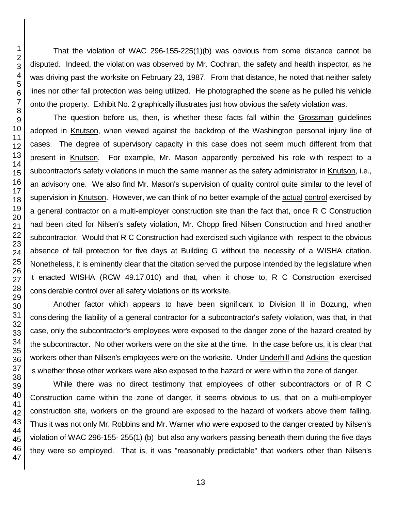That the violation of WAC 296-155-225(1)(b) was obvious from some distance cannot be disputed. Indeed, the violation was observed by Mr. Cochran, the safety and health inspector, as he was driving past the worksite on February 23, 1987. From that distance, he noted that neither safety lines nor other fall protection was being utilized. He photographed the scene as he pulled his vehicle onto the property. Exhibit No. 2 graphically illustrates just how obvious the safety violation was.

The question before us, then, is whether these facts fall within the Grossman guidelines adopted in Knutson, when viewed against the backdrop of the Washington personal injury line of cases. The degree of supervisory capacity in this case does not seem much different from that present in Knutson. For example, Mr. Mason apparently perceived his role with respect to a subcontractor's safety violations in much the same manner as the safety administrator in Knutson, i.e., an advisory one. We also find Mr. Mason's supervision of quality control quite similar to the level of supervision in Knutson. However, we can think of no better example of the actual control exercised by a general contractor on a multi-employer construction site than the fact that, once R C Construction had been cited for Nilsen's safety violation, Mr. Chopp fired Nilsen Construction and hired another subcontractor. Would that R C Construction had exercised such vigilance with respect to the obvious absence of fall protection for five days at Building G without the necessity of a WISHA citation. Nonetheless, it is eminently clear that the citation served the purpose intended by the legislature when it enacted WISHA (RCW 49.17.010) and that, when it chose to, R C Construction exercised considerable control over all safety violations on its worksite.

Another factor which appears to have been significant to Division II in Bozung, when considering the liability of a general contractor for a subcontractor's safety violation, was that, in that case, only the subcontractor's employees were exposed to the danger zone of the hazard created by the subcontractor. No other workers were on the site at the time. In the case before us, it is clear that workers other than Nilsen's employees were on the worksite. Under Underhill and Adkins the question is whether those other workers were also exposed to the hazard or were within the zone of danger.

While there was no direct testimony that employees of other subcontractors or of R C Construction came within the zone of danger, it seems obvious to us, that on a multi-employer construction site, workers on the ground are exposed to the hazard of workers above them falling. Thus it was not only Mr. Robbins and Mr. Warner who were exposed to the danger created by Nilsen's violation of WAC 296-155- 255(1) (b) but also any workers passing beneath them during the five days they were so employed. That is, it was "reasonably predictable" that workers other than Nilsen's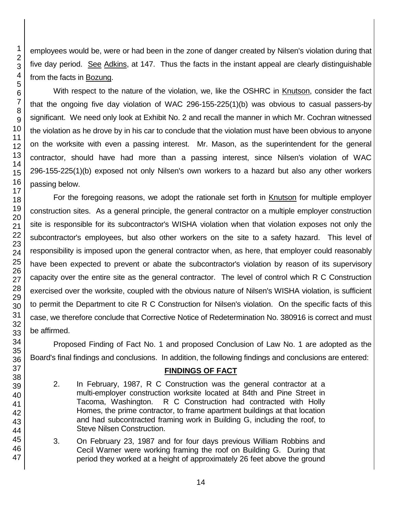employees would be, were or had been in the zone of danger created by Nilsen's violation during that five day period. See Adkins, at 147. Thus the facts in the instant appeal are clearly distinguishable from the facts in Bozung.

With respect to the nature of the violation, we, like the OSHRC in Knutson, consider the fact that the ongoing five day violation of WAC 296-155-225(1)(b) was obvious to casual passers-by significant. We need only look at Exhibit No. 2 and recall the manner in which Mr. Cochran witnessed the violation as he drove by in his car to conclude that the violation must have been obvious to anyone on the worksite with even a passing interest. Mr. Mason, as the superintendent for the general contractor, should have had more than a passing interest, since Nilsen's violation of WAC 296-155-225(1)(b) exposed not only Nilsen's own workers to a hazard but also any other workers passing below.

For the foregoing reasons, we adopt the rationale set forth in Knutson for multiple employer construction sites. As a general principle, the general contractor on a multiple employer construction site is responsible for its subcontractor's WISHA violation when that violation exposes not only the subcontractor's employees, but also other workers on the site to a safety hazard. This level of responsibility is imposed upon the general contractor when, as here, that employer could reasonably have been expected to prevent or abate the subcontractor's violation by reason of its supervisory capacity over the entire site as the general contractor. The level of control which R C Construction exercised over the worksite, coupled with the obvious nature of Nilsen's WISHA violation, is sufficient to permit the Department to cite R C Construction for Nilsen's violation. On the specific facts of this case, we therefore conclude that Corrective Notice of Redetermination No. 380916 is correct and must be affirmed.

Proposed Finding of Fact No. 1 and proposed Conclusion of Law No. 1 are adopted as the Board's final findings and conclusions. In addition, the following findings and conclusions are entered:

### **FINDINGS OF FACT**

- 2. In February, 1987, R C Construction was the general contractor at a multi-employer construction worksite located at 84th and Pine Street in Tacoma, Washington. R C Construction had contracted with Holly Homes, the prime contractor, to frame apartment buildings at that location and had subcontracted framing work in Building G, including the roof, to Steve Nilsen Construction.
- 3. On February 23, 1987 and for four days previous William Robbins and Cecil Warner were working framing the roof on Building G. During that period they worked at a height of approximately 26 feet above the ground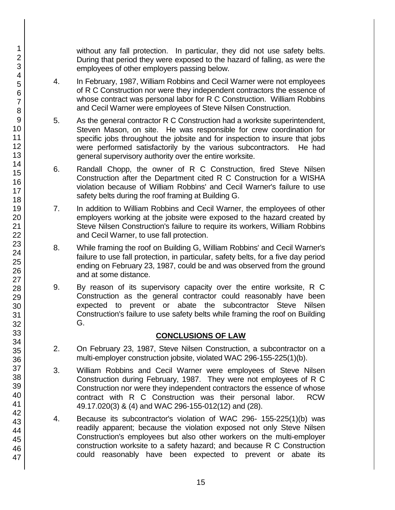without any fall protection. In particular, they did not use safety belts. During that period they were exposed to the hazard of falling, as were the employees of other employers passing below.

- 4. In February, 1987, William Robbins and Cecil Warner were not employees of R C Construction nor were they independent contractors the essence of whose contract was personal labor for R C Construction. William Robbins and Cecil Warner were employees of Steve Nilsen Construction.
- 5. As the general contractor R C Construction had a worksite superintendent, Steven Mason, on site. He was responsible for crew coordination for specific jobs throughout the jobsite and for inspection to insure that jobs were performed satisfactorily by the various subcontractors. He had general supervisory authority over the entire worksite.
- 6. Randall Chopp, the owner of R C Construction, fired Steve Nilsen Construction after the Department cited R C Construction for a WISHA violation because of William Robbins' and Cecil Warner's failure to use safety belts during the roof framing at Building G.
- 7. In addition to William Robbins and Cecil Warner, the employees of other employers working at the jobsite were exposed to the hazard created by Steve Nilsen Construction's failure to require its workers, William Robbins and Cecil Warner, to use fall protection.
- 8. While framing the roof on Building G, William Robbins' and Cecil Warner's failure to use fall protection, in particular, safety belts, for a five day period ending on February 23, 1987, could be and was observed from the ground and at some distance.
- 9. By reason of its supervisory capacity over the entire worksite, R C Construction as the general contractor could reasonably have been expected to prevent or abate the subcontractor Steve Nilsen Construction's failure to use safety belts while framing the roof on Building G.

# **CONCLUSIONS OF LAW**

- 2. On February 23, 1987, Steve Nilsen Construction, a subcontractor on a multi-employer construction jobsite, violated WAC 296-155-225(1)(b).
- 3. William Robbins and Cecil Warner were employees of Steve Nilsen Construction during February, 1987. They were not employees of R C Construction nor were they independent contractors the essence of whose contract with R C Construction was their personal labor. RCW 49.17.020(3) & (4) and WAC 296-155-012(12) and (28).
- 4. Because its subcontractor's violation of WAC 296- 155-225(1)(b) was readily apparent; because the violation exposed not only Steve Nilsen Construction's employees but also other workers on the multi-employer construction worksite to a safety hazard; and because R C Construction could reasonably have been expected to prevent or abate its